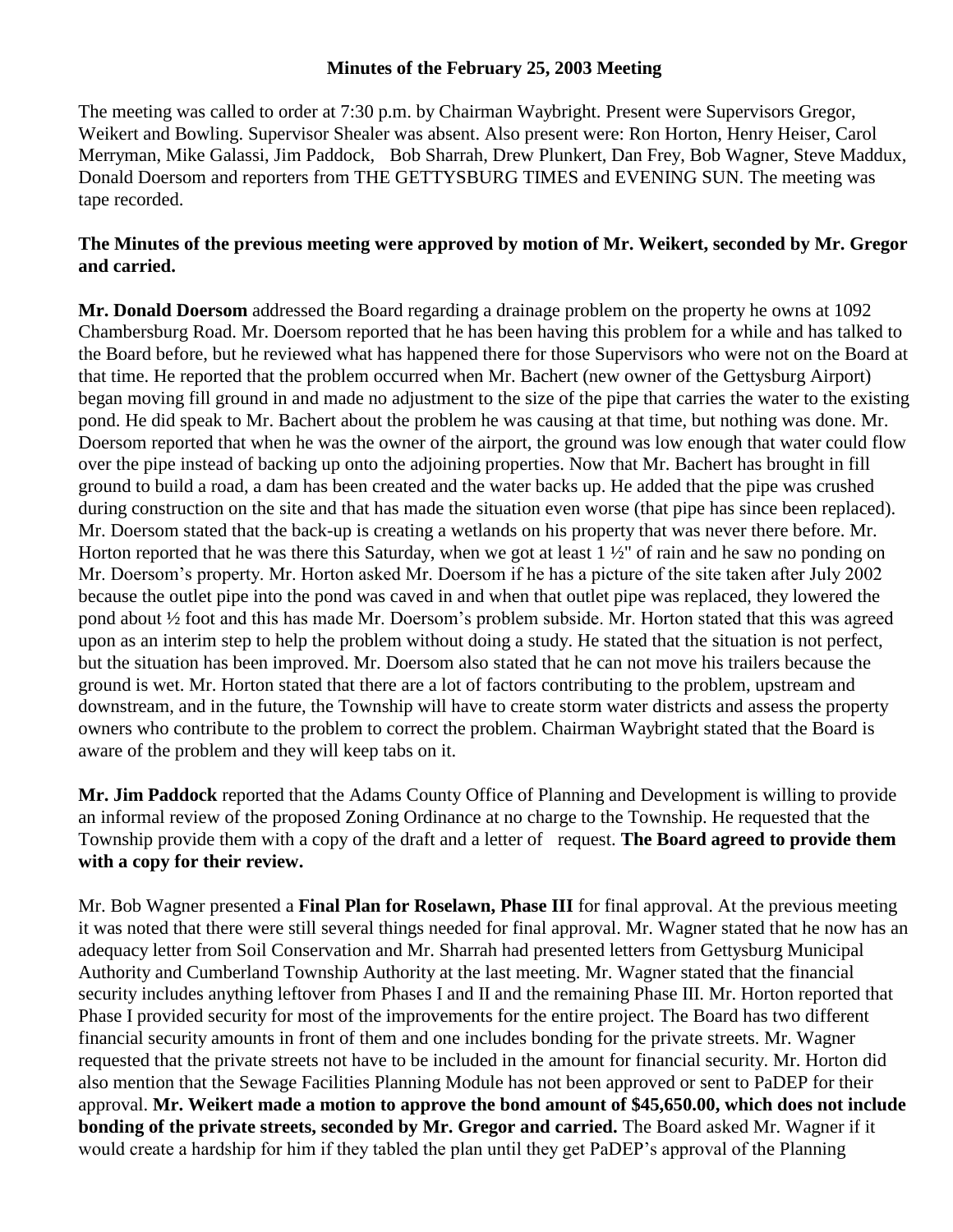## **Minutes of the February 25, 2003 Meeting**

The meeting was called to order at 7:30 p.m. by Chairman Waybright. Present were Supervisors Gregor, Weikert and Bowling. Supervisor Shealer was absent. Also present were: Ron Horton, Henry Heiser, Carol Merryman, Mike Galassi, Jim Paddock, Bob Sharrah, Drew Plunkert, Dan Frey, Bob Wagner, Steve Maddux, Donald Doersom and reporters from THE GETTYSBURG TIMES and EVENING SUN. The meeting was tape recorded.

## **The Minutes of the previous meeting were approved by motion of Mr. Weikert, seconded by Mr. Gregor and carried.**

**Mr. Donald Doersom** addressed the Board regarding a drainage problem on the property he owns at 1092 Chambersburg Road. Mr. Doersom reported that he has been having this problem for a while and has talked to the Board before, but he reviewed what has happened there for those Supervisors who were not on the Board at that time. He reported that the problem occurred when Mr. Bachert (new owner of the Gettysburg Airport) began moving fill ground in and made no adjustment to the size of the pipe that carries the water to the existing pond. He did speak to Mr. Bachert about the problem he was causing at that time, but nothing was done. Mr. Doersom reported that when he was the owner of the airport, the ground was low enough that water could flow over the pipe instead of backing up onto the adjoining properties. Now that Mr. Bachert has brought in fill ground to build a road, a dam has been created and the water backs up. He added that the pipe was crushed during construction on the site and that has made the situation even worse (that pipe has since been replaced). Mr. Doersom stated that the back-up is creating a wetlands on his property that was never there before. Mr. Horton reported that he was there this Saturday, when we got at least 1 ½" of rain and he saw no ponding on Mr. Doersom's property. Mr. Horton asked Mr. Doersom if he has a picture of the site taken after July 2002 because the outlet pipe into the pond was caved in and when that outlet pipe was replaced, they lowered the pond about ½ foot and this has made Mr. Doersom's problem subside. Mr. Horton stated that this was agreed upon as an interim step to help the problem without doing a study. He stated that the situation is not perfect, but the situation has been improved. Mr. Doersom also stated that he can not move his trailers because the ground is wet. Mr. Horton stated that there are a lot of factors contributing to the problem, upstream and downstream, and in the future, the Township will have to create storm water districts and assess the property owners who contribute to the problem to correct the problem. Chairman Waybright stated that the Board is aware of the problem and they will keep tabs on it.

**Mr. Jim Paddock** reported that the Adams County Office of Planning and Development is willing to provide an informal review of the proposed Zoning Ordinance at no charge to the Township. He requested that the Township provide them with a copy of the draft and a letter of request. **The Board agreed to provide them with a copy for their review.**

Mr. Bob Wagner presented a **Final Plan for Roselawn, Phase III** for final approval. At the previous meeting it was noted that there were still several things needed for final approval. Mr. Wagner stated that he now has an adequacy letter from Soil Conservation and Mr. Sharrah had presented letters from Gettysburg Municipal Authority and Cumberland Township Authority at the last meeting. Mr. Wagner stated that the financial security includes anything leftover from Phases I and II and the remaining Phase III. Mr. Horton reported that Phase I provided security for most of the improvements for the entire project. The Board has two different financial security amounts in front of them and one includes bonding for the private streets. Mr. Wagner requested that the private streets not have to be included in the amount for financial security. Mr. Horton did also mention that the Sewage Facilities Planning Module has not been approved or sent to PaDEP for their approval. **Mr. Weikert made a motion to approve the bond amount of \$45,650.00, which does not include bonding of the private streets, seconded by Mr. Gregor and carried.** The Board asked Mr. Wagner if it would create a hardship for him if they tabled the plan until they get PaDEP's approval of the Planning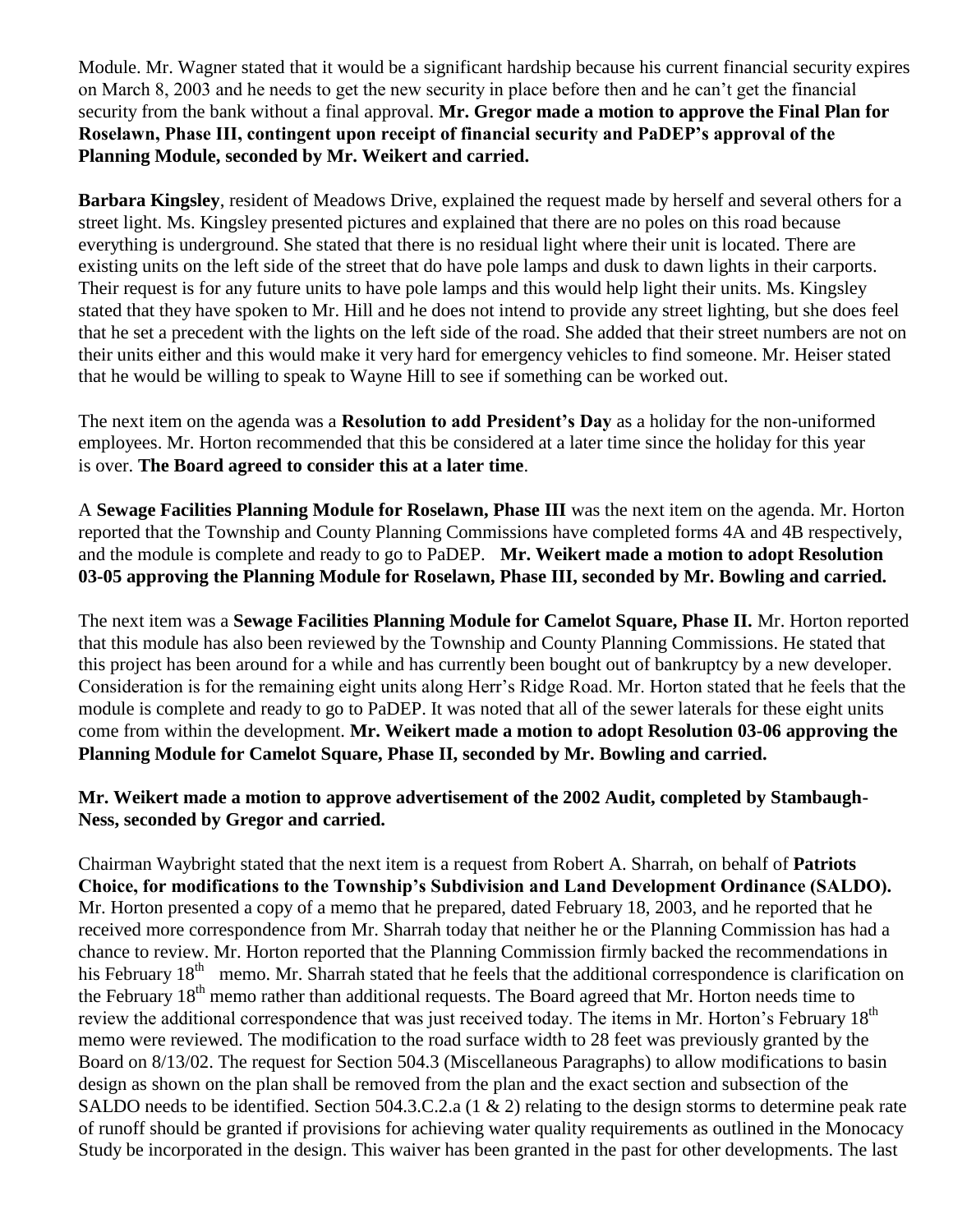Module. Mr. Wagner stated that it would be a significant hardship because his current financial security expires on March 8, 2003 and he needs to get the new security in place before then and he can't get the financial security from the bank without a final approval. **Mr. Gregor made a motion to approve the Final Plan for Roselawn, Phase III, contingent upon receipt of financial security and PaDEP's approval of the Planning Module, seconded by Mr. Weikert and carried.** 

**Barbara Kingsley**, resident of Meadows Drive, explained the request made by herself and several others for a street light. Ms. Kingsley presented pictures and explained that there are no poles on this road because everything is underground. She stated that there is no residual light where their unit is located. There are existing units on the left side of the street that do have pole lamps and dusk to dawn lights in their carports. Their request is for any future units to have pole lamps and this would help light their units. Ms. Kingsley stated that they have spoken to Mr. Hill and he does not intend to provide any street lighting, but she does feel that he set a precedent with the lights on the left side of the road. She added that their street numbers are not on their units either and this would make it very hard for emergency vehicles to find someone. Mr. Heiser stated that he would be willing to speak to Wayne Hill to see if something can be worked out.

The next item on the agenda was a **Resolution to add President's Day** as a holiday for the non-uniformed employees. Mr. Horton recommended that this be considered at a later time since the holiday for this year is over. **The Board agreed to consider this at a later time**.

A **Sewage Facilities Planning Module for Roselawn, Phase III** was the next item on the agenda. Mr. Horton reported that the Township and County Planning Commissions have completed forms 4A and 4B respectively, and the module is complete and ready to go to PaDEP. **Mr. Weikert made a motion to adopt Resolution 03-05 approving the Planning Module for Roselawn, Phase III, seconded by Mr. Bowling and carried.** 

The next item was a **Sewage Facilities Planning Module for Camelot Square, Phase II.** Mr. Horton reported that this module has also been reviewed by the Township and County Planning Commissions. He stated that this project has been around for a while and has currently been bought out of bankruptcy by a new developer. Consideration is for the remaining eight units along Herr's Ridge Road. Mr. Horton stated that he feels that the module is complete and ready to go to PaDEP. It was noted that all of the sewer laterals for these eight units come from within the development. **Mr. Weikert made a motion to adopt Resolution 03-06 approving the Planning Module for Camelot Square, Phase II, seconded by Mr. Bowling and carried.**

## **Mr. Weikert made a motion to approve advertisement of the 2002 Audit, completed by Stambaugh-Ness, seconded by Gregor and carried.**

Chairman Waybright stated that the next item is a request from Robert A. Sharrah, on behalf of **Patriots Choice, for modifications to the Township's Subdivision and Land Development Ordinance (SALDO).** Mr. Horton presented a copy of a memo that he prepared, dated February 18, 2003, and he reported that he received more correspondence from Mr. Sharrah today that neither he or the Planning Commission has had a chance to review. Mr. Horton reported that the Planning Commission firmly backed the recommendations in his February 18<sup>th</sup> memo. Mr. Sharrah stated that he feels that the additional correspondence is clarification on the February 18<sup>th</sup> memo rather than additional requests. The Board agreed that Mr. Horton needs time to review the additional correspondence that was just received today. The items in Mr. Horton's February 18<sup>th</sup> memo were reviewed. The modification to the road surface width to 28 feet was previously granted by the Board on 8/13/02. The request for Section 504.3 (Miscellaneous Paragraphs) to allow modifications to basin design as shown on the plan shall be removed from the plan and the exact section and subsection of the SALDO needs to be identified. Section 504.3.C.2.a (1 & 2) relating to the design storms to determine peak rate of runoff should be granted if provisions for achieving water quality requirements as outlined in the Monocacy Study be incorporated in the design. This waiver has been granted in the past for other developments. The last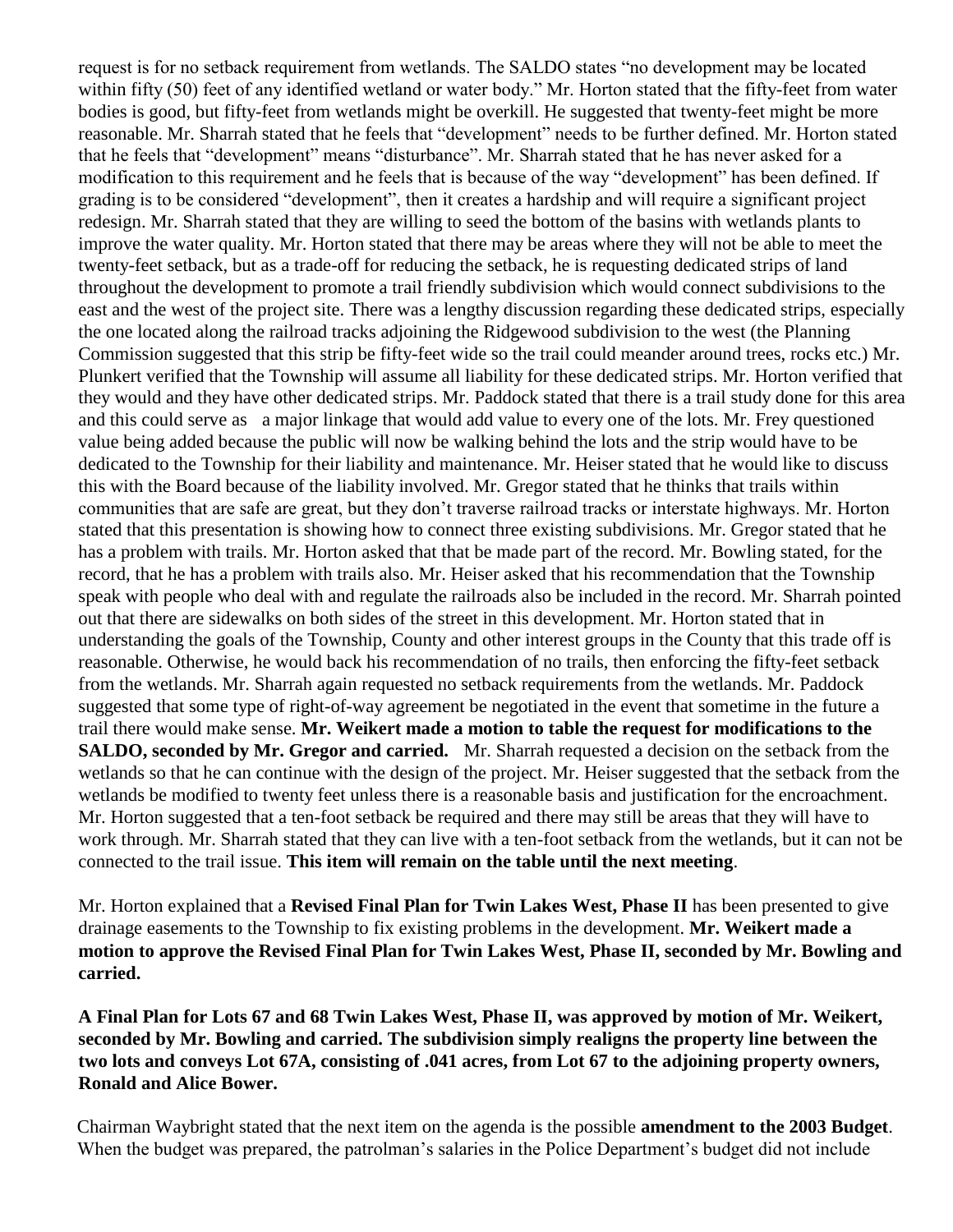request is for no setback requirement from wetlands. The SALDO states "no development may be located within fifty (50) feet of any identified wetland or water body." Mr. Horton stated that the fifty-feet from water bodies is good, but fifty-feet from wetlands might be overkill. He suggested that twenty-feet might be more reasonable. Mr. Sharrah stated that he feels that "development" needs to be further defined. Mr. Horton stated that he feels that "development" means "disturbance". Mr. Sharrah stated that he has never asked for a modification to this requirement and he feels that is because of the way "development" has been defined. If grading is to be considered "development", then it creates a hardship and will require a significant project redesign. Mr. Sharrah stated that they are willing to seed the bottom of the basins with wetlands plants to improve the water quality. Mr. Horton stated that there may be areas where they will not be able to meet the twenty-feet setback, but as a trade-off for reducing the setback, he is requesting dedicated strips of land throughout the development to promote a trail friendly subdivision which would connect subdivisions to the east and the west of the project site. There was a lengthy discussion regarding these dedicated strips, especially the one located along the railroad tracks adjoining the Ridgewood subdivision to the west (the Planning Commission suggested that this strip be fifty-feet wide so the trail could meander around trees, rocks etc.) Mr. Plunkert verified that the Township will assume all liability for these dedicated strips. Mr. Horton verified that they would and they have other dedicated strips. Mr. Paddock stated that there is a trail study done for this area and this could serve as a major linkage that would add value to every one of the lots. Mr. Frey questioned value being added because the public will now be walking behind the lots and the strip would have to be dedicated to the Township for their liability and maintenance. Mr. Heiser stated that he would like to discuss this with the Board because of the liability involved. Mr. Gregor stated that he thinks that trails within communities that are safe are great, but they don't traverse railroad tracks or interstate highways. Mr. Horton stated that this presentation is showing how to connect three existing subdivisions. Mr. Gregor stated that he has a problem with trails. Mr. Horton asked that that be made part of the record. Mr. Bowling stated, for the record, that he has a problem with trails also. Mr. Heiser asked that his recommendation that the Township speak with people who deal with and regulate the railroads also be included in the record. Mr. Sharrah pointed out that there are sidewalks on both sides of the street in this development. Mr. Horton stated that in understanding the goals of the Township, County and other interest groups in the County that this trade off is reasonable. Otherwise, he would back his recommendation of no trails, then enforcing the fifty-feet setback from the wetlands. Mr. Sharrah again requested no setback requirements from the wetlands. Mr. Paddock suggested that some type of right-of-way agreement be negotiated in the event that sometime in the future a trail there would make sense. **Mr. Weikert made a motion to table the request for modifications to the SALDO, seconded by Mr. Gregor and carried.** Mr. Sharrah requested a decision on the setback from the wetlands so that he can continue with the design of the project. Mr. Heiser suggested that the setback from the wetlands be modified to twenty feet unless there is a reasonable basis and justification for the encroachment. Mr. Horton suggested that a ten-foot setback be required and there may still be areas that they will have to work through. Mr. Sharrah stated that they can live with a ten-foot setback from the wetlands, but it can not be connected to the trail issue. **This item will remain on the table until the next meeting**.

Mr. Horton explained that a **Revised Final Plan for Twin Lakes West, Phase II** has been presented to give drainage easements to the Township to fix existing problems in the development. **Mr. Weikert made a motion to approve the Revised Final Plan for Twin Lakes West, Phase II, seconded by Mr. Bowling and carried.**

**A Final Plan for Lots 67 and 68 Twin Lakes West, Phase II, was approved by motion of Mr. Weikert, seconded by Mr. Bowling and carried. The subdivision simply realigns the property line between the two lots and conveys Lot 67A, consisting of .041 acres, from Lot 67 to the adjoining property owners, Ronald and Alice Bower.** 

Chairman Waybright stated that the next item on the agenda is the possible **amendment to the 2003 Budget**. When the budget was prepared, the patrolman's salaries in the Police Department's budget did not include